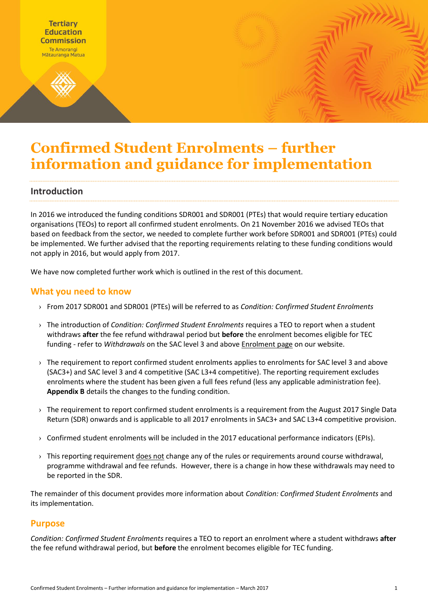

# **Confirmed Student Enrolments – further information and guidance for implementation**

### **Introduction**

In 2016 we introduced the funding conditions SDR001 and SDR001 (PTEs) that would require tertiary education organisations (TEOs) to report all confirmed student enrolments. On 21 November 2016 we advised TEOs that based on feedback from the sector, we needed to complete further work before SDR001 and SDR001 (PTEs) could be implemented. We further advised that the reporting requirements relating to these funding conditions would not apply in 2016, but would apply from 2017.

We have now completed further work which is outlined in the rest of this document.

### **What you need to know**

- › From 2017 SDR001 and SDR001 (PTEs) will be referred to as *Condition: Confirmed Student Enrolments*
- › The introduction of *Condition: Confirmed Student Enrolments* requires a TEO to report when a student withdraws **after** the fee refund withdrawal period but **before** the enrolment becomes eligible for TEC funding - refer to *Withdrawals* on the SAC level 3 and abov[e Enrolment page](http://www.tec.govt.nz/funding/funding-and-performance/funding/fund-finder/sac-level-3-and-above/enrolment/) on our website.
- › The requirement to report confirmed student enrolments applies to enrolments for SAC level 3 and above (SAC3+) and SAC level 3 and 4 competitive (SAC L3+4 competitive). The reporting requirement excludes enrolments where the student has been given a full fees refund (less any applicable administration fee). **Appendix B** details the changes to the funding condition.
- $\rightarrow$  The requirement to report confirmed student enrolments is a requirement from the August 2017 Single Data Return (SDR) onwards and is applicable to all 2017 enrolments in SAC3+ and SAC L3+4 competitive provision.
- $\rightarrow$  Confirmed student enrolments will be included in the 2017 educational performance indicators (EPIs).
- > This reporting requirement does not change any of the rules or requirements around course withdrawal, programme withdrawal and fee refunds. However, there is a change in how these withdrawals may need to be reported in the SDR.

The remainder of this document provides more information about *Condition: Confirmed Student Enrolments* and its implementation.

### **Purpose**

*Condition: Confirmed Student Enrolments* requires a TEO to report an enrolment where a student withdraws **after** the fee refund withdrawal period, but **before** the enrolment becomes eligible for TEC funding.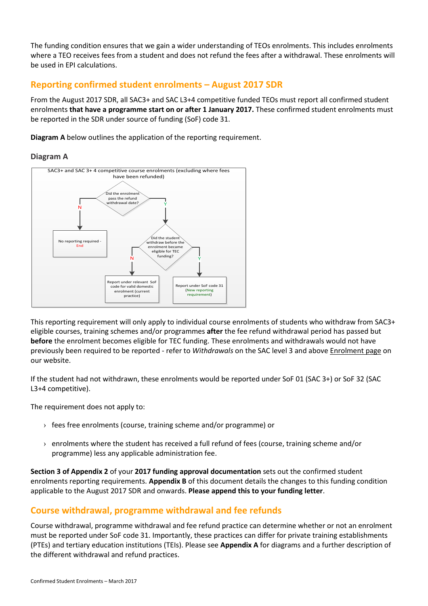The funding condition ensures that we gain a wider understanding of TEOs enrolments. This includes enrolments where a TEO receives fees from a student and does not refund the fees after a withdrawal. These enrolments will be used in EPI calculations.

### **Reporting confirmed student enrolments – August 2017 SDR**

From the August 2017 SDR, all SAC3+ and SAC L3+4 competitive funded TEOs must report all confirmed student enrolments **that have a programme start on or after 1 January 2017.** These confirmed student enrolments must be reported in the SDR under source of funding (SoF) code 31.

**Diagram A** below outlines the application of the reporting requirement.

### **Diagram A**



This reporting requirement will only apply to individual course enrolments of students who withdraw from SAC3+ eligible courses, training schemes and/or programmes **after** the fee refund withdrawal period has passed but **before** the enrolment becomes eligible for TEC funding. These enrolments and withdrawals would not have previously been required to be reported - refer to *Withdrawals* on the SAC level 3 and abov[e Enrolment page](http://www.tec.govt.nz/funding/funding-and-performance/funding/fund-finder/sac-level-3-and-above/enrolment/) on our website.

If the student had not withdrawn, these enrolments would be reported under SoF 01 (SAC 3+) or SoF 32 (SAC L3+4 competitive).

The requirement does not apply to:

- $\rightarrow$  fees free enrolments (course, training scheme and/or programme) or
- $\rightarrow$  enrolments where the student has received a full refund of fees (course, training scheme and/or programme) less any applicable administration fee.

**Section 3 of Appendix 2** of your **2017 funding approval documentation** sets out the confirmed student enrolments reporting requirements. **Appendix B** of this document details the changes to this funding condition applicable to the August 2017 SDR and onwards. **Please append this to your funding letter**.

# **Course withdrawal, programme withdrawal and fee refunds**

Course withdrawal, programme withdrawal and fee refund practice can determine whether or not an enrolment must be reported under SoF code 31. Importantly, these practices can differ for private training establishments (PTEs) and tertiary education institutions (TEIs). Please see **Appendix A** for diagrams and a further description of the different withdrawal and refund practices.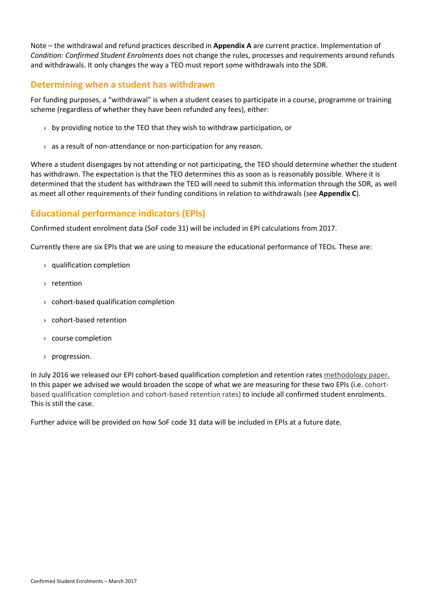Note – the withdrawal and refund practices described in **Appendix A** are current practice. Implementation of *Condition: Confirmed Student Enrolments* does not change the rules, processes and requirements around refunds and withdrawals. It only changes the way a TEO must report some withdrawals into the SDR.

### **Determining when a student has withdrawn**

For funding purposes, a "withdrawal" is when a student ceases to participate in a course, programme or training scheme (regardless of whether they have been refunded any fees), either:

- $\rightarrow$  by providing notice to the TEO that they wish to withdraw participation, or
- $\rightarrow$  as a result of non-attendance or non-participation for any reason.

Where a student disengages by not attending or not participating, the TEO should determine whether the student has withdrawn. The expectation is that the TEO determines this as soon as is reasonably possible. Where it is determined that the student has withdrawn the TEO will need to submit this information through the SDR, as well as meet all other requirements of their funding conditions in relation to withdrawals (see **Appendix C**).

### **Educational performance indicators (EPIs)**

Confirmed student enrolment data (SoF code 31) will be included in EPI calculations from 2017.

Currently there are six EPIs that we are using to measure the educational performance of TEOs. These are:

- › qualification completion
- › retention
- › cohort-based qualification completion
- › cohort-based retention
- › course completion
- › progression.

In July 2016 we released our EPI cohort-based qualification completion and retention rate[s methodology paper.](http://www.tec.govt.nz/assets/Publications-and-others/Cohort-based-qualification-completion-and-retentionrates-methodology-paper.pdf) In this paper we advised we would broaden the scope of what we are measuring for these two EPIs (i.e. cohortbased qualification completion and cohort-based retention rates) to include all confirmed student enrolments. This is still the case.

Further advice will be provided on how SoF code 31 data will be included in EPIs at a future date.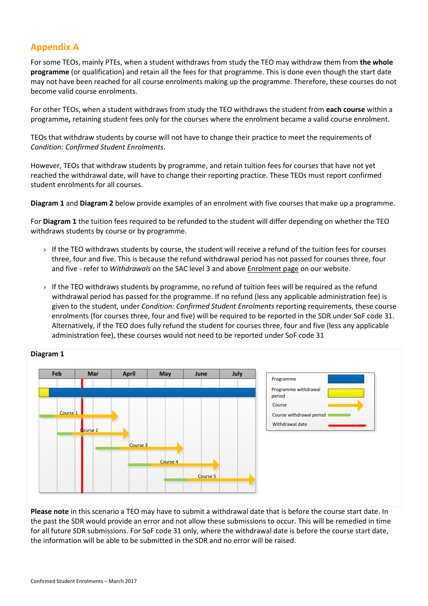# **Appendix A**

For some TEOs, mainly PTEs, when a student withdraws from study the TEO may withdraw them from **the whole programme** (or qualification) and retain all the fees for that programme. This is done even though the start date may not have been reached for all course enrolments making up the programme. Therefore, these courses do not become valid course enrolments.

For other TEOs, when a student withdraws from study the TEO withdraws the student from **each course** within a programme**,** retaining student fees only for the courses where the enrolment became a valid course enrolment.

TEOs that withdraw students by course will not have to change their practice to meet the requirements of *Condition: Confirmed Student Enrolments*.

However, TEOs that withdraw students by programme, and retain tuition fees for courses that have not yet reached the withdrawal date, will have to change their reporting practice. These TEOs must report confirmed student enrolments for all courses.

**Diagram 1** and **Diagram 2** below provide examples of an enrolment with five courses that make up a programme.

For **Diagram 1** the tuition fees required to be refunded to the student will differ depending on whether the TEO withdraws students by course or by programme.

- $\rightarrow$  If the TEO withdraws students by course, the student will receive a refund of the tuition fees for courses three, four and five. This is because the refund withdrawal period has not passed for courses three, four and five - refer to *Withdrawals* on the SAC level 3 and abov[e Enrolment page](http://www.tec.govt.nz/funding/funding-and-performance/funding/fund-finder/sac-level-3-and-above/enrolment/) on our website.
- $\rightarrow$  If the TEO withdraws students by programme, no refund of tuition fees will be required as the refund withdrawal period has passed for the programme. If no refund (less any applicable administration fee) is given to the student, under *Condition: Confirmed Student Enrolments* reporting requirements, these course enrolments (for courses three, four and five) will be required to be reported in the SDR under SoF code 31. Alternatively, if the TEO does fully refund the student for courses three, four and five (less any applicable administration fee), these courses would not need to be reported under SoF code 31



**Diagram 1**

**Please note** in this scenario a TEO may have to submit a withdrawal date that is before the course start date. In the past the SDR would provide an error and not allow these submissions to occur. This will be remedied in time for all future SDR submissions. For SoF code 31 only, where the withdrawal date is before the course start date, the information will be able to be submitted in the SDR and no error will be raised.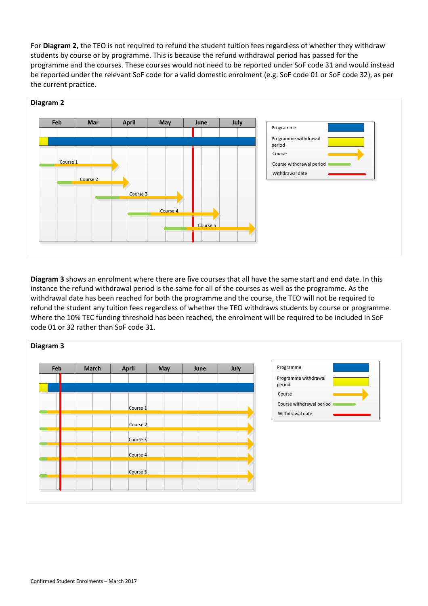For **Diagram 2,** the TEO is not required to refund the student tuition fees regardless of whether they withdraw students by course or by programme. This is because the refund withdrawal period has passed for the programme and the courses. These courses would not need to be reported under SoF code 31 and would instead be reported under the relevant SoF code for a valid domestic enrolment (e.g. SoF code 01 or SoF code 32), as per the current practice.



#### **Diagram 2**

**Diagram 3** shows an enrolment where there are five courses that all have the same start and end date. In this instance the refund withdrawal period is the same for all of the courses as well as the programme. As the withdrawal date has been reached for both the programme and the course, the TEO will not be required to refund the student any tuition fees regardless of whether the TEO withdraws students by course or programme. Where the 10% TEC funding threshold has been reached, the enrolment will be required to be included in SoF code 01 or 32 rather than SoF code 31.

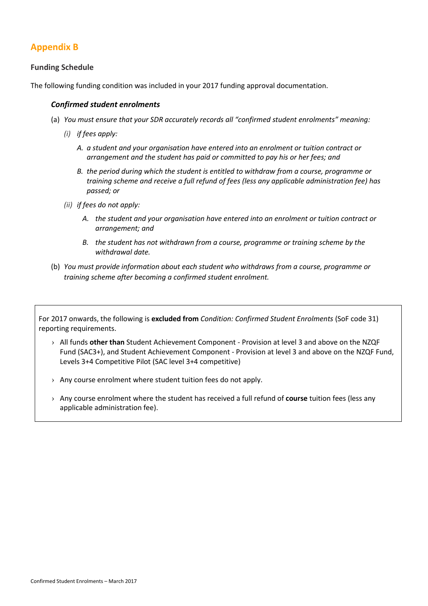# **Appendix B**

### **Funding Schedule**

The following funding condition was included in your 2017 funding approval documentation.

#### *Confirmed student enrolments*

- (a) *You must ensure that your SDR accurately records all "confirmed student enrolments" meaning:*
	- *(i) if fees apply:*
		- *A. a student and your organisation have entered into an enrolment or tuition contract or arrangement and the student has paid or committed to pay his or her fees; and*
		- *B. the period during which the student is entitled to withdraw from a course, programme or training scheme and receive a full refund of fees (less any applicable administration fee) has passed; or*
	- *(ii) if fees do not apply:*
		- *A. the student and your organisation have entered into an enrolment or tuition contract or arrangement; and*
		- *B. the student has not withdrawn from a course, programme or training scheme by the withdrawal date.*
- (b) *You must provide information about each student who withdraws from a course, programme or training scheme after becoming a confirmed student enrolment.*

For 2017 onwards, the following is **excluded from** *Condition: Confirmed Student Enrolments* (SoF code 31) reporting requirements.

- › All funds **other than** Student Achievement Component Provision at level 3 and above on the NZQF Fund (SAC3+), and Student Achievement Component - Provision at level 3 and above on the NZQF Fund, Levels 3+4 Competitive Pilot (SAC level 3+4 competitive)
- › Any course enrolment where student tuition fees do not apply.
- › Any course enrolment where the student has received a full refund of **course** tuition fees (less any applicable administration fee).